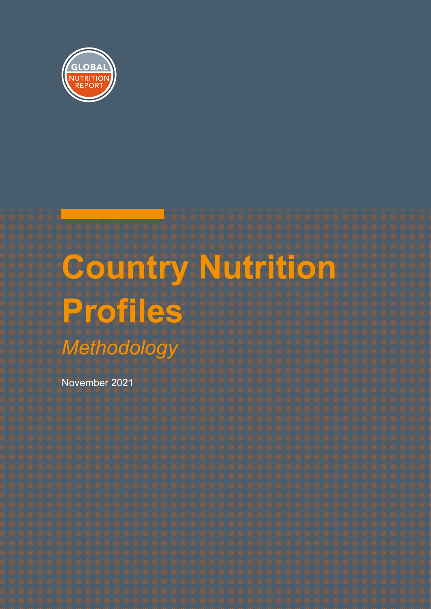

# **Country Nutrition Profiles** *Methodology*

November 2021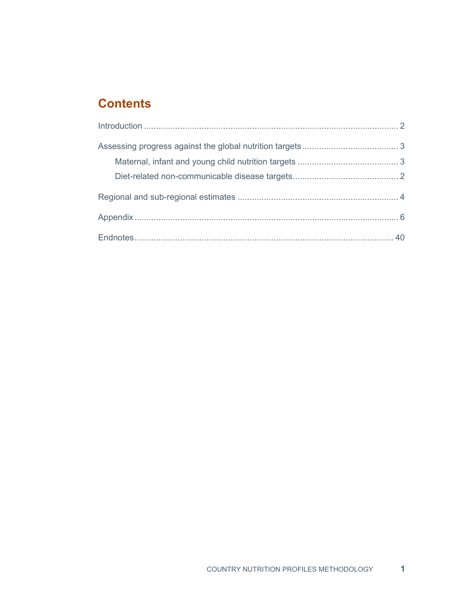# **Contents**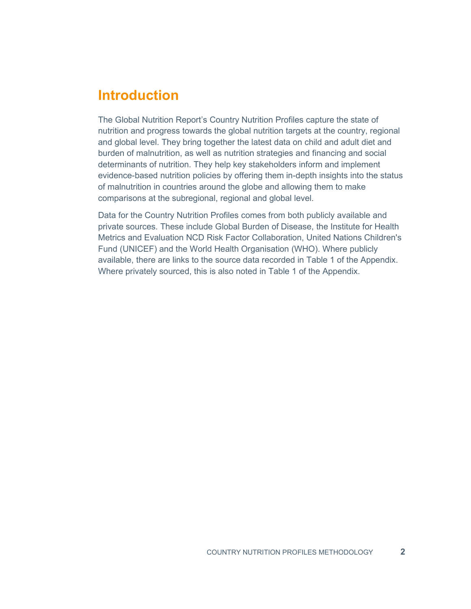# <span id="page-2-0"></span>**Introduction**

The Global Nutrition Report's Country Nutrition Profiles capture the state of nutrition and progress towards the global nutrition targets at the country, regional and global level. They bring together the latest data on child and adult diet and burden of malnutrition, as well as nutrition strategies and financing and social determinants of nutrition. They help key stakeholders inform and implement evidence-based nutrition policies by offering them in-depth insights into the status of malnutrition in countries around the globe and allowing them to make comparisons at the subregional, regional and global level.

Data for the Country Nutrition Profiles comes from both publicly available and private sources. These include Global Burden of Disease, the Institute for Health Metrics and Evaluation NCD Risk Factor Collaboration, United Nations Children's Fund (UNICEF) and the World Health Organisation (WHO). Where publicly available, there are links to the source data recorded in Table 1 of the Appendix. Where privately sourced, this is also noted in Table 1 of the Appendix.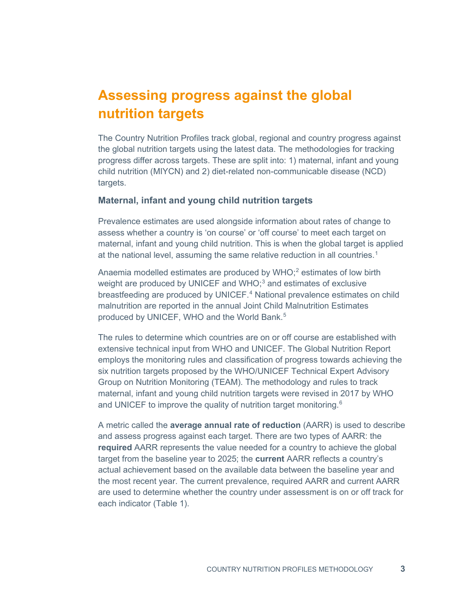# <span id="page-3-0"></span>**Assessing progress against the global nutrition targets**

The Country Nutrition Profiles track global, regional and country progress against the global nutrition targets using the latest data. The methodologies for tracking progress differ across targets. These are split into: 1) maternal, infant and young child nutrition (MIYCN) and 2) diet-related non-communicable disease (NCD) targets.

#### <span id="page-3-1"></span>**Maternal, infant and young child nutrition targets**

Prevalence estimates are used alongside information about rates of change to assess whether a country is 'on course' or 'off course' to meet each target on maternal, infant and young child nutrition. This is when the global target is applied at the national level, assuming the same relative reduction in all countries.<sup>[1](#page-44-1)</sup>

Anaemia modelled estimates are produced by WHO; $^2$  $^2$  estimates of low birth weight are produced by UNICEF and WHO;<sup>[3](#page-44-3)</sup> and estimates of exclusive breastfeeding are produced by UNICEF. [4](#page-44-4) National prevalence estimates on child malnutrition are reported in the annual Joint Child Malnutrition Estimates produced by UNICEF, WHO and the World Bank. [5](#page-44-5)

The rules to determine which countries are on or off course are established with extensive technical input from WHO and UNICEF. The Global Nutrition Report employs the monitoring rules and classification of progress towards achieving the six nutrition targets proposed by the WHO/UNICEF Technical Expert Advisory Group on Nutrition Monitoring (TEAM). The methodology and rules to track maternal, infant and young child nutrition targets were revised in 2017 by WHO and UNICEF to improve the quality of nutrition target monitoring. $^{\rm 6}$  $^{\rm 6}$  $^{\rm 6}$ 

A metric called the **average annual rate of reduction** (AARR) is used to describe and assess progress against each target. There are two types of AARR: the **required** AARR represents the value needed for a country to achieve the global target from the baseline year to 2025; the **current** AARR reflects a country's actual achievement based on the available data between the baseline year and the most recent year. The current prevalence, required AARR and current AARR are used to determine whether the country under assessment is on or off track for each indicator (Table 1).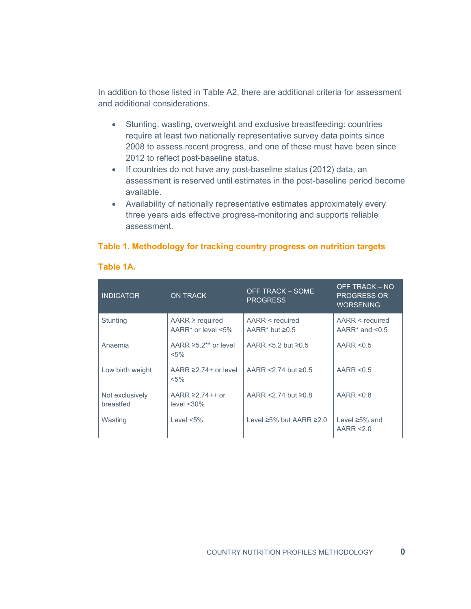In addition to those listed in Table A2, there are additional criteria for assessment and additional considerations.

- Stunting, wasting, overweight and exclusive breastfeeding: countries require at least two nationally representative survey data points since 2008 to assess recent progress, and one of these must have been since 2012 to reflect post-baseline status.
- If countries do not have any post-baseline status (2012) data, an assessment is reserved until estimates in the post-baseline period become available.
- Availability of nationally representative estimates approximately every three years aids effective progress-monitoring and supports reliable assessment.

#### **Table 1. Methodology for tracking country progress on nutrition targets**

| <b>INDICATOR</b>             | <b>ON TRACK</b>                                  | <b>OFF TRACK – SOME</b><br><b>PROGRESS</b>          | OFF TRACK - NO<br><b>PROGRESS OR</b><br><b>WORSENING</b> |
|------------------------------|--------------------------------------------------|-----------------------------------------------------|----------------------------------------------------------|
| <b>Stunting</b>              | $AARR \geq required$<br>AARR $*$ or level $<5\%$ | AARR < required<br>AARR <sup>*</sup> but $\geq 0.5$ | AARR < required<br>AARR $*$ and $< 0.5$                  |
| Anaemia                      | AARR $\geq 5.2**$ or level<br>$< 5\%$            | AARR <5.2 but $\geq 0.5$                            | AARR $< 0.5$                                             |
| Low birth weight             | AARR $\geq$ 74+ or level<br>$< 5\%$              | AARR <2.74 but $\geq$ 0.5                           | AARR $< 0.5$                                             |
| Not exclusively<br>breastfed | AARR $\geq$ 74++ or<br>level $<$ 30%             | AARR $<$ 2.74 but $\geq$ 0.8                        | AARR $< 0.8$                                             |
| Wasting                      | Level $<5\%$                                     | Level ≥5% but AARR ≥2.0                             | Level $\geq 5\%$ and<br>AARR $\leq$ 0                    |

#### **Table 1A.**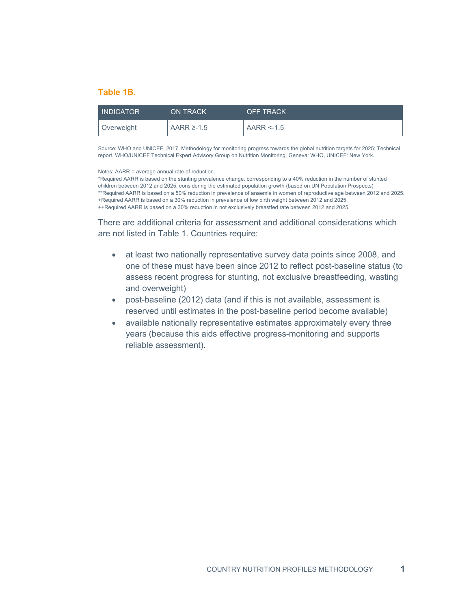#### **Table 1B.**

| <b>INDICATOR</b> | <b>ON TRACK</b> | <b>OFF TRACK</b> |
|------------------|-----------------|------------------|
| Overweight       | AARR $\ge$ -1.5 | $AARR < -1.5$    |

Source: WHO and UNICEF, 2017. Methodology for monitoring progress towards the global nutrition targets for 2025: Technical report. WHO/UNICEF Technical Expert Advisory Group on Nutrition Monitoring. Geneva: WHO, UNICEF: New York.

Notes: AARR = average annual rate of reduction.

\*Required AARR is based on the stunting prevalence change, corresponding to a 40% reduction in the number of stunted children between 2012 and 2025, considering the estimated population growth (based on UN Population Prospects). \*\*Required AARR is based on a 50% reduction in prevalence of anaemia in women of reproductive age between 2012 and 2025. +Required AARR is based on a 30% reduction in prevalence of low birth weight between 2012 and 2025. ++Required AARR is based on a 30% reduction in not exclusively breastfed rate between 2012 and 2025.

There are additional criteria for assessment and additional considerations which are not listed in Table 1. Countries require:

- at least two nationally representative survey data points since 2008, and one of these must have been since 2012 to reflect post-baseline status (to assess recent progress for stunting, not exclusive breastfeeding, wasting and overweight)
- post-baseline (2012) data (and if this is not available, assessment is reserved until estimates in the post-baseline period become available)
- available nationally representative estimates approximately every three years (because this aids effective progress-monitoring and supports reliable assessment).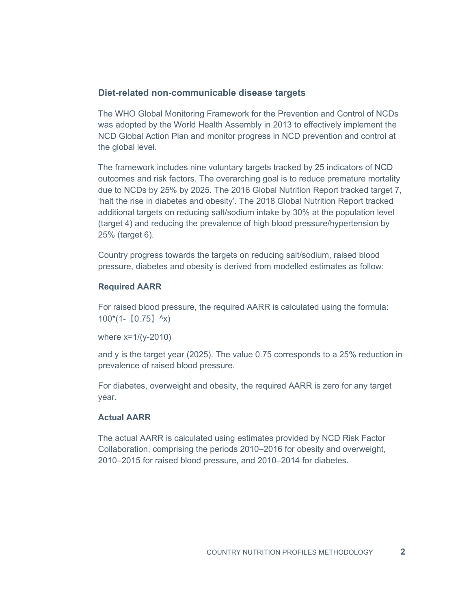# <span id="page-6-0"></span>**Diet-related non-communicable disease targets**

The WHO Global Monitoring Framework for the Prevention and Control of NCDs was adopted by the World Health Assembly in 2013 to effectively implement the NCD Global Action Plan and monitor progress in NCD prevention and control at the global level.

The framework includes nine voluntary targets tracked by 25 indicators of NCD outcomes and risk factors. The overarching goal is to reduce premature mortality due to NCDs by 25% by 2025. The 2016 Global Nutrition Report tracked target 7, 'halt the rise in diabetes and obesity'. The 2018 Global Nutrition Report tracked additional targets on reducing salt/sodium intake by 30% at the population level (target 4) and reducing the prevalence of high blood pressure/hypertension by 25% (target 6).

Country progress towards the targets on reducing salt/sodium, raised blood pressure, diabetes and obesity is derived from modelled estimates as follow:

# **Required AARR**

For raised blood pressure, the required AARR is calculated using the formula:  $100^*(1 - (0.75) \, \text{A}x)$ 

where x=1/(y-2010)

and y is the target year (2025). The value 0.75 corresponds to a 25% reduction in prevalence of raised blood pressure.

For diabetes, overweight and obesity, the required AARR is zero for any target year.

# **Actual AARR**

The actual AARR is calculated using estimates provided by NCD Risk Factor Collaboration, comprising the periods 2010–2016 for obesity and overweight, 2010–2015 for raised blood pressure, and 2010–2014 for diabetes.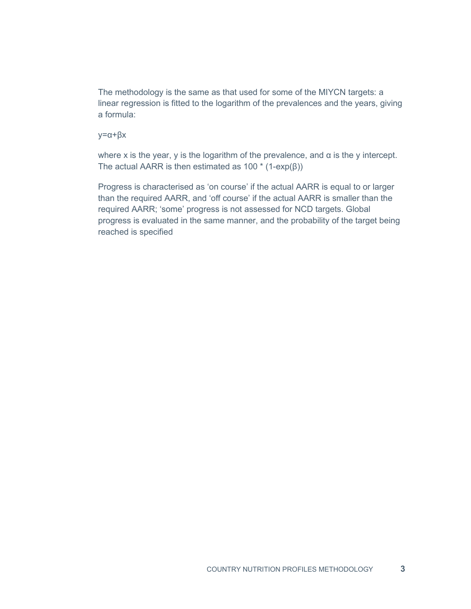The methodology is the same as that used for some of the MIYCN targets: a linear regression is fitted to the logarithm of the prevalences and the years, giving a formula:

y=α+βx

where x is the year, y is the logarithm of the prevalence, and  $\alpha$  is the y intercept. The actual AARR is then estimated as  $100 * (1-exp(\beta))$ 

Progress is characterised as 'on course' if the actual AARR is equal to or larger than the required AARR, and 'off course' if the actual AARR is smaller than the required AARR; 'some' progress is not assessed for NCD targets. Global progress is evaluated in the same manner, and the probability of the target being reached is specified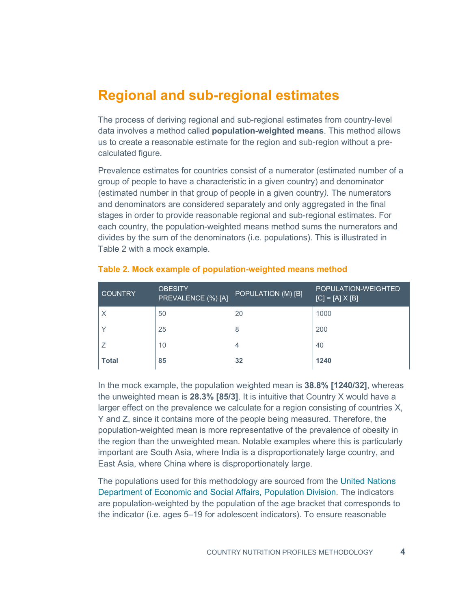# <span id="page-8-0"></span>**Regional and sub-regional estimates**

The process of deriving regional and sub-regional estimates from country-level data involves a method called **population-weighted means**. This method allows us to create a reasonable estimate for the region and sub-region without a precalculated figure.

Prevalence estimates for countries consist of a numerator (estimated number of a group of people to have a characteristic in a given country) and denominator (estimated number in that group of people in a given country*).* The numerators and denominators are considered separately and only aggregated in the final stages in order to provide reasonable regional and sub-regional estimates. For each country, the population-weighted means method sums the numerators and divides by the sum of the denominators (i.e. populations). This is illustrated in Table 2 with a mock example.

| <b>COUNTRY</b> | <b>OBESITY</b><br>PREVALENCE (%) [A] | POPULATION (M) [B] | <b>POPULATION-WEIGHTED</b><br>$[C] = [A] \times [B]$ |
|----------------|--------------------------------------|--------------------|------------------------------------------------------|
| $\times$       | 50                                   | 20                 | 1000                                                 |
| $\checkmark$   | 25                                   | 8                  | 200                                                  |
|                | 10                                   | 4                  | 40                                                   |
| <b>Total</b>   | 85                                   | 32                 | 1240                                                 |

#### **Table 2. Mock example of population-weighted means method**

In the mock example, the population weighted mean is **38.8% [1240/32]**, whereas the unweighted mean is **28.3% [85/3]**. It is intuitive that Country X would have a larger effect on the prevalence we calculate for a region consisting of countries X, Y and Z, since it contains more of the people being measured. Therefore, the population-weighted mean is more representative of the prevalence of obesity in the region than the unweighted mean. Notable examples where this is particularly important are South Asia, where India is a disproportionately large country, and East Asia, where China where is disproportionately large.

The populations used for this methodology are sourced from the [United Nations](https://population.un.org/wpp/Download/Standard/Population/)  [Department of Economic and Social Affairs, Population Division.](https://population.un.org/wpp/Download/Standard/Population/) The indicators are population-weighted by the population of the age bracket that corresponds to the indicator (i.e. ages 5–19 for adolescent indicators). To ensure reasonable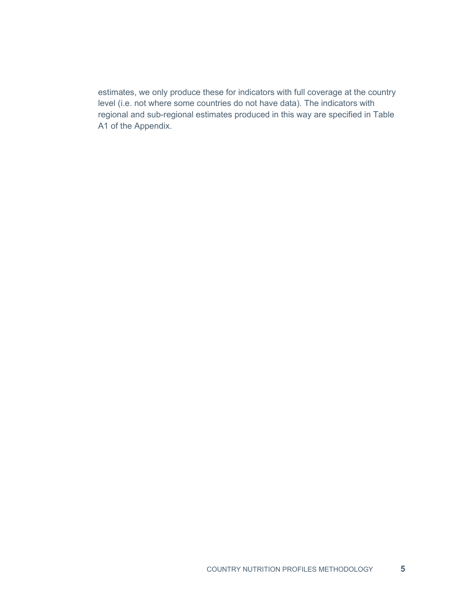estimates, we only produce these for indicators with full coverage at the country level (i.e. not where some countries do not have data). The indicators with regional and sub-regional estimates produced in this way are specified in Table A1 of the Appendix.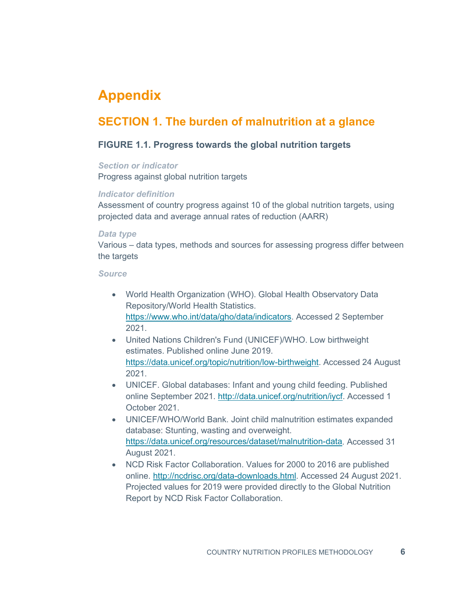# <span id="page-10-0"></span>**Appendix**

# **SECTION 1. The burden of malnutrition at a glance**

# **FIGURE 1.1. Progress towards the global nutrition targets**

#### *Section or indicator*

Progress against global nutrition targets

#### *Indicator definition*

Assessment of country progress against 10 of the global nutrition targets, using projected data and average annual rates of reduction (AARR)

#### *Data type*

Various – data types, methods and sources for assessing progress differ between the targets

#### *Source*

- World Health Organization (WHO). Global Health Observatory Data Repository/World Health Statistics. [https://www.who.int/data/gho/data/indicators.](https://www.who.int/data/gho/data/indicators) Accessed 2 September 2021.
- United Nations Children's Fund (UNICEF)/WHO. Low birthweight estimates. Published online June 2019. [https://data.unicef.org/topic/nutrition/low-birthweight.](https://data.unicef.org/topic/nutrition/low-birthweight) Accessed 24 August 2021.
- UNICEF. Global databases: Infant and young child feeding. Published online September 2021. [http://data.unicef.org/nutrition/iycf.](http://data.unicef.org/nutrition/iycf) Accessed 1 October 2021.
- UNICEF/WHO/World Bank. Joint child malnutrition estimates expanded database: Stunting, wasting and overweight. [https://data.unicef.org/resources/dataset/malnutrition-data.](https://data.unicef.org/resources/dataset/malnutrition-data) Accessed 31 August 2021.
- NCD Risk Factor Collaboration. Values for 2000 to 2016 are published online. [http://ncdrisc.org/data-downloads.html.](http://ncdrisc.org/data-downloads.html) Accessed 24 August 2021. Projected values for 2019 were provided directly to the Global Nutrition Report by NCD Risk Factor Collaboration.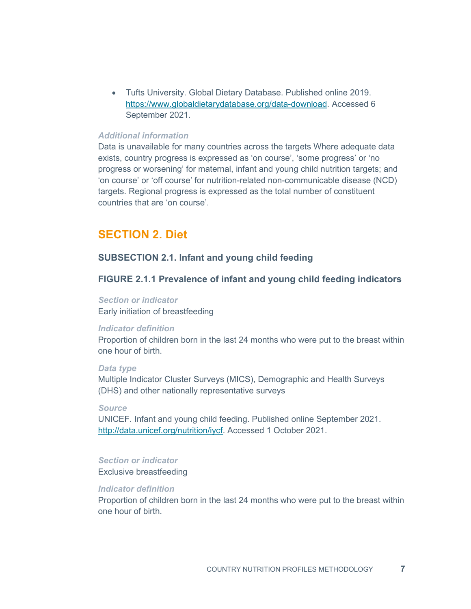• Tufts University. Global Dietary Database. Published online 2019. [https://www.globaldietarydatabase.org/data-download.](https://www.globaldietarydatabase.org/data-download) Accessed 6 September 2021.

# *Additional information*

Data is unavailable for many countries across the targets Where adequate data exists, country progress is expressed as 'on course', 'some progress' or 'no progress or worsening' for maternal, infant and young child nutrition targets; and 'on course' or 'off course' for nutrition-related non-communicable disease (NCD) targets. Regional progress is expressed as the total number of constituent countries that are 'on course'.

# **SECTION 2. Diet**

## **SUBSECTION 2.1. Infant and young child feeding**

# **FIGURE 2.1.1 Prevalence of infant and young child feeding indicators**

# *Section or indicator*

Early initiation of breastfeeding

#### *Indicator definition*

Proportion of children born in the last 24 months who were put to the breast within one hour of birth.

#### *Data type*

Multiple Indicator Cluster Surveys (MICS), Demographic and Health Surveys (DHS) and other nationally representative surveys

#### *Source*

UNICEF. Infant and young child feeding. Published online September 2021. [http://data.unicef.org/nutrition/iycf.](http://data.unicef.org/nutrition/iycf) Accessed 1 October 2021.

#### *Section or indicator*

Exclusive breastfeeding

#### *Indicator definition*

Proportion of children born in the last 24 months who were put to the breast within one hour of birth.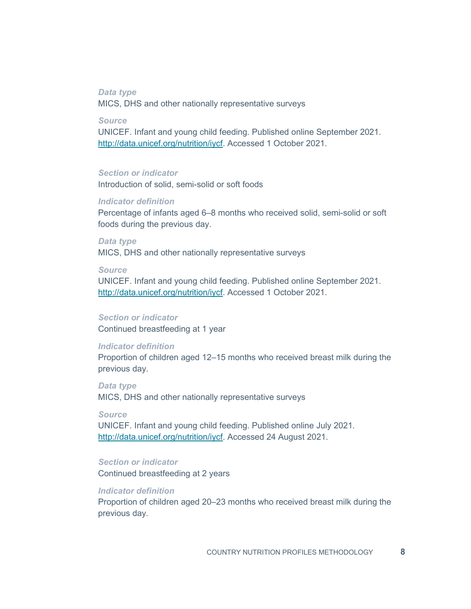# *Data type*

MICS, DHS and other nationally representative surveys

*Source*

UNICEF. Infant and young child feeding. Published online September 2021. [http://data.unicef.org/nutrition/iycf.](http://data.unicef.org/nutrition/iycf) Accessed 1 October 2021.

#### *Section or indicator*

Introduction of solid, semi-solid or soft foods

#### *Indicator definition*

Percentage of infants aged 6–8 months who received solid, semi-solid or soft foods during the previous day.

*Data type* MICS, DHS and other nationally representative surveys

#### *Source*

UNICEF. Infant and young child feeding. Published online September 2021. [http://data.unicef.org/nutrition/iycf.](http://data.unicef.org/nutrition/iycf) Accessed 1 October 2021.

#### *Section or indicator*

Continued breastfeeding at 1 year

#### *Indicator definition*

Proportion of children aged 12–15 months who received breast milk during the previous day.

*Data type* MICS, DHS and other nationally representative surveys

#### *Source*

UNICEF. Infant and young child feeding. Published online July 2021. [http://data.unicef.org/nutrition/iycf.](http://data.unicef.org/nutrition/iycf) Accessed 24 August 2021.

# *Section or indicator*

Continued breastfeeding at 2 years

# *Indicator definition*

Proportion of children aged 20–23 months who received breast milk during the previous day.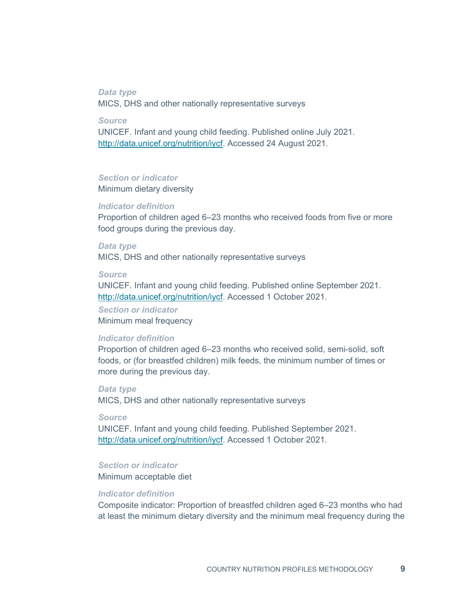#### *Data type*

MICS, DHS and other nationally representative surveys

*Source*

UNICEF. Infant and young child feeding. Published online July 2021. [http://data.unicef.org/nutrition/iycf.](http://data.unicef.org/nutrition/iycf) Accessed 24 August 2021.

#### *Section or indicator*

Minimum dietary diversity

#### *Indicator definition*

Proportion of children aged 6–23 months who received foods from five or more food groups during the previous day.

#### *Data type*

MICS, DHS and other nationally representative surveys

#### *Source*

UNICEF. Infant and young child feeding. Published online September 2021. [http://data.unicef.org/nutrition/iycf.](http://data.unicef.org/nutrition/iycf) Accessed 1 October 2021.

#### *Section or indicator* Minimum meal frequency

#### *Indicator definition*

Proportion of children aged 6–23 months who received solid, semi-solid, soft foods, or (for breastfed children) milk feeds, the minimum number of times or more during the previous day.

#### *Data type*

MICS, DHS and other nationally representative surveys

#### *Source*

UNICEF. Infant and young child feeding. Published September 2021. [http://data.unicef.org/nutrition/iycf.](http://data.unicef.org/nutrition/iycf) Accessed 1 October 2021.

#### *Section or indicator*

Minimum acceptable diet

#### *Indicator definition*

Composite indicator: Proportion of breastfed children aged 6–23 months who had at least the minimum dietary diversity and the minimum meal frequency during the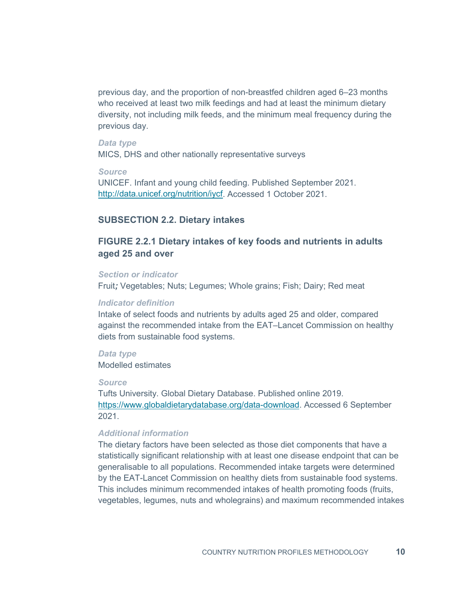previous day, and the proportion of non-breastfed children aged 6–23 months who received at least two milk feedings and had at least the minimum dietary diversity, not including milk feeds, and the minimum meal frequency during the previous day.

#### *Data type*

MICS, DHS and other nationally representative surveys

#### *Source*

UNICEF. Infant and young child feeding. Published September 2021. [http://data.unicef.org/nutrition/iycf.](http://data.unicef.org/nutrition/iycf) Accessed 1 October 2021.

#### **SUBSECTION 2.2. Dietary intakes**

# **FIGURE 2.2.1 Dietary intakes of key foods and nutrients in adults aged 25 and over**

#### *Section or indicator*

Fruit*;* Vegetables; Nuts; Legumes; Whole grains; Fish; Dairy; Red meat

#### *Indicator definition*

Intake of select foods and nutrients by adults aged 25 and older, compared against the recommended intake from the EAT–Lancet Commission on healthy diets from sustainable food systems.

*Data type* Modelled estimates

#### *Source*

Tufts University. Global Dietary Database. Published online 2019. [https://www.globaldietarydatabase.org/data-download.](https://www.globaldietarydatabase.org/data-download) Accessed 6 September 2021.

# *Additional information*

The dietary factors have been selected as those diet components that have a statistically significant relationship with at least one disease endpoint that can be generalisable to all populations. Recommended intake targets were determined by the EAT-Lancet Commission on healthy diets from sustainable food systems. This includes minimum recommended intakes of health promoting foods (fruits, vegetables, legumes, nuts and wholegrains) and maximum recommended intakes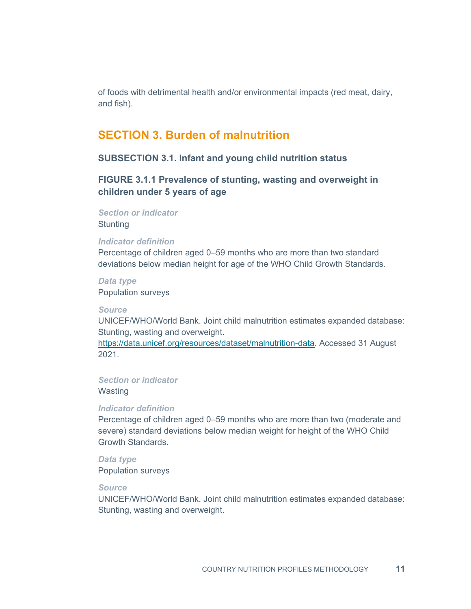of foods with detrimental health and/or environmental impacts (red meat, dairy, and fish).

# **SECTION 3. Burden of malnutrition**

# **SUBSECTION 3.1. Infant and young child nutrition status**

# **FIGURE 3.1.1 Prevalence of stunting, wasting and overweight in children under 5 years of age**

*Section or indicator*

**Stunting** 

#### *Indicator definition*

Percentage of children aged 0–59 months who are more than two standard deviations below median height for age of the WHO Child Growth Standards.

*Data type* Population surveys

#### *Source*

UNICEF/WHO/World Bank. Joint child malnutrition estimates expanded database: Stunting, wasting and overweight.

[https://data.unicef.org/resources/dataset/malnutrition-data.](https://data.unicef.org/resources/dataset/malnutrition-data) Accessed 31 August 2021.

*Section or indicator* **Wasting** 

#### *Indicator definition*

Percentage of children aged 0–59 months who are more than two (moderate and severe) standard deviations below median weight for height of the WHO Child Growth Standards.

*Data type* Population surveys

#### *Source*

UNICEF/WHO/World Bank. Joint child malnutrition estimates expanded database: Stunting, wasting and overweight.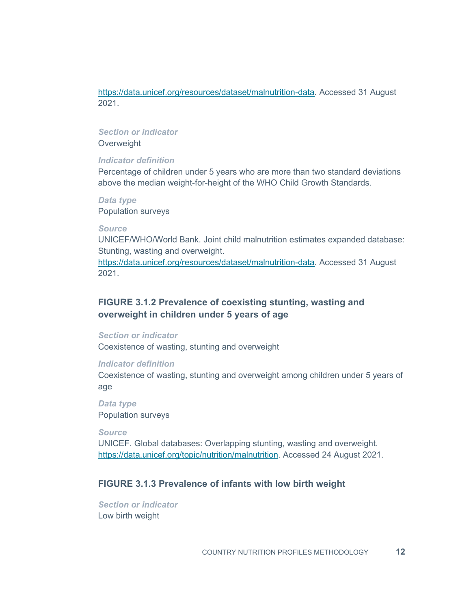[https://data.unicef.org/resources/dataset/malnutrition-data.](https://data.unicef.org/resources/dataset/malnutrition-data) Accessed 31 August 2021.

# *Section or indicator*

**Overweight** 

#### *Indicator definition*

Percentage of children under 5 years who are more than two standard deviations above the median weight-for-height of the WHO Child Growth Standards.

# *Data type*

Population surveys

#### *Source*

UNICEF/WHO/World Bank. Joint child malnutrition estimates expanded database: Stunting, wasting and overweight.

[https://data.unicef.org/resources/dataset/malnutrition-data.](https://data.unicef.org/resources/dataset/malnutrition-data) Accessed 31 August 2021.

# **FIGURE 3.1.2 Prevalence of coexisting stunting, wasting and overweight in children under 5 years of age**

#### *Section or indicator*

Coexistence of wasting, stunting and overweight

#### *Indicator definition*

Coexistence of wasting, stunting and overweight among children under 5 years of age

*Data type* Population surveys

#### *Source*

UNICEF. Global databases: Overlapping stunting, wasting and overweight. [https://data.unicef.org/topic/nutrition/malnutrition.](https://data.unicef.org/topic/nutrition/malnutrition/) Accessed 24 August 2021.

# **FIGURE 3.1.3 Prevalence of infants with low birth weight**

*Section or indicator* Low birth weight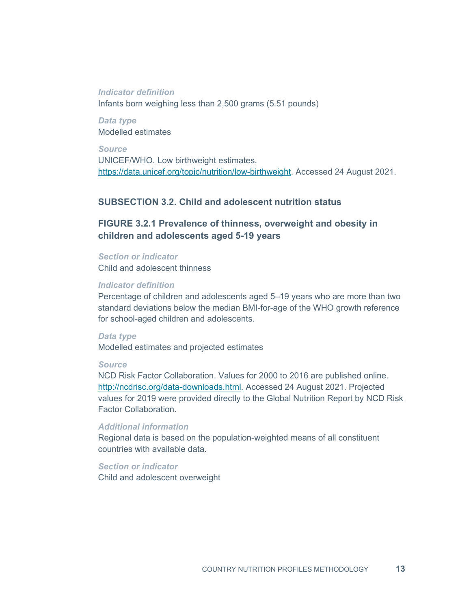#### *Indicator definition*

Infants born weighing less than 2,500 grams (5.51 pounds)

*Data type* Modelled estimates

*Source* UNICEF/WHO. Low birthweight estimates. [https://data.unicef.org/topic/nutrition/low-birthweight.](https://data.unicef.org/topic/nutrition/low-birthweight) Accessed 24 August 2021.

# **SUBSECTION 3.2. Child and adolescent nutrition status**

# **FIGURE 3.2.1 Prevalence of thinness, overweight and obesity in children and adolescents aged 5-19 years**

#### *Section or indicator*

Child and adolescent thinness

## *Indicator definition*

Percentage of children and adolescents aged 5–19 years who are more than two standard deviations below the median BMI-for-age of the WHO growth reference for school-aged children and adolescents.

#### *Data type*

Modelled estimates and projected estimates

#### *Source*

NCD Risk Factor Collaboration. Values for 2000 to 2016 are published online. [http://ncdrisc.org/data-downloads.html.](http://ncdrisc.org/data-downloads.html) Accessed 24 August 2021. Projected values for 2019 were provided directly to the Global Nutrition Report by NCD Risk Factor Collaboration.

#### *Additional information*

Regional data is based on the population-weighted means of all constituent countries with available data.

# *Section or indicator*

Child and adolescent overweight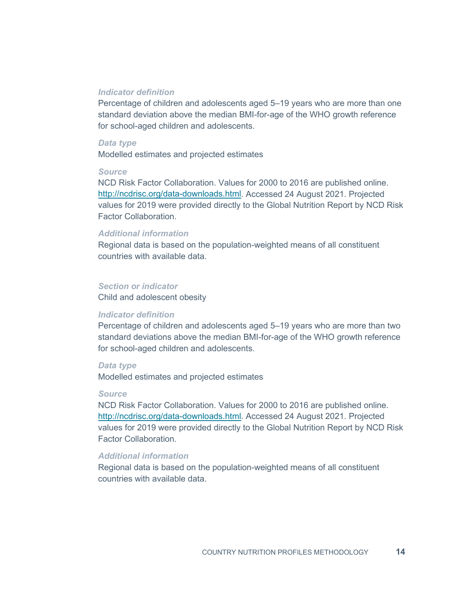#### *Indicator definition*

Percentage of children and adolescents aged 5–19 years who are more than one standard deviation above the median BMI-for-age of the WHO growth reference for school-aged children and adolescents.

#### *Data type*

Modelled estimates and projected estimates

#### *Source*

NCD Risk Factor Collaboration. Values for 2000 to 2016 are published online. [http://ncdrisc.org/data-downloads.html.](http://ncdrisc.org/data-downloads.html) Accessed 24 August 2021. Projected values for 2019 were provided directly to the Global Nutrition Report by NCD Risk Factor Collaboration.

#### *Additional information*

Regional data is based on the population-weighted means of all constituent countries with available data.

#### *Section or indicator*

Child and adolescent obesity

#### *Indicator definition*

Percentage of children and adolescents aged 5–19 years who are more than two standard deviations above the median BMI-for-age of the WHO growth reference for school-aged children and adolescents.

#### *Data type*

Modelled estimates and projected estimates

#### *Source*

NCD Risk Factor Collaboration. Values for 2000 to 2016 are published online. [http://ncdrisc.org/data-downloads.html.](http://ncdrisc.org/data-downloads.html) Accessed 24 August 2021. Projected values for 2019 were provided directly to the Global Nutrition Report by NCD Risk Factor Collaboration.

#### *Additional information*

Regional data is based on the population-weighted means of all constituent countries with available data.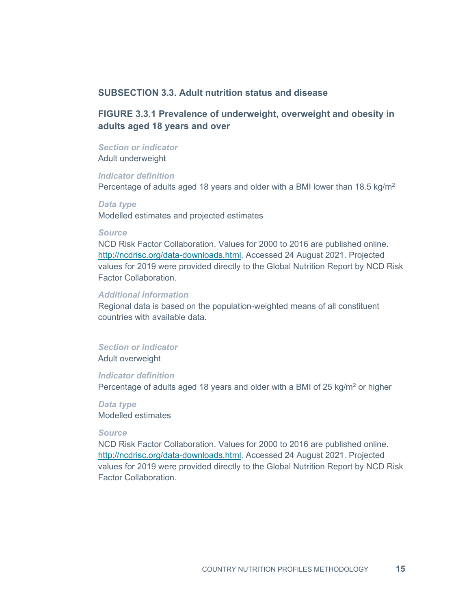# **SUBSECTION 3.3. Adult nutrition status and disease**

# **FIGURE 3.3.1 Prevalence of underweight, overweight and obesity in adults aged 18 years and over**

#### *Section or indicator*

Adult underweight

#### *Indicator definition*

Percentage of adults aged 18 years and older with a BMI lower than  $18.5 \text{ kg/m}^2$ 

*Data type* Modelled estimates and projected estimates

#### *Source*

NCD Risk Factor Collaboration. Values for 2000 to 2016 are published online. [http://ncdrisc.org/data-downloads.html.](http://ncdrisc.org/data-downloads.html) Accessed 24 August 2021. Projected values for 2019 were provided directly to the Global Nutrition Report by NCD Risk Factor Collaboration.

#### *Additional information*

Regional data is based on the population-weighted means of all constituent countries with available data.

# *Section or indicator*

Adult overweight

#### *Indicator definition*

Percentage of adults aged 18 years and older with a BMI of 25 kg/ $m<sup>2</sup>$  or higher

# *Data type* Modelled estimates

#### *Source*

NCD Risk Factor Collaboration. Values for 2000 to 2016 are published online. [http://ncdrisc.org/data-downloads.html.](http://ncdrisc.org/data-downloads.html) Accessed 24 August 2021. Projected values for 2019 were provided directly to the Global Nutrition Report by NCD Risk Factor Collaboration.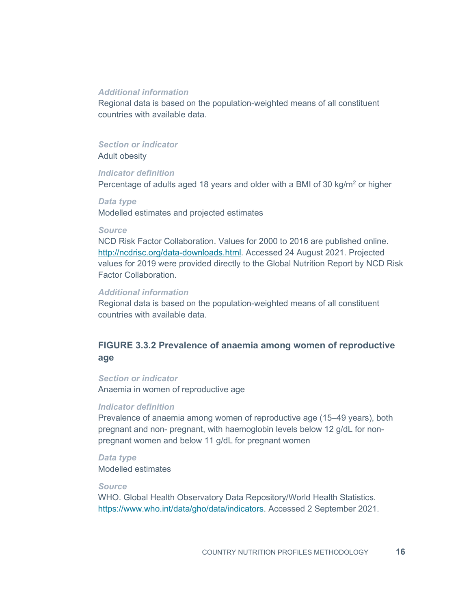#### *Additional information*

Regional data is based on the population-weighted means of all constituent countries with available data.

#### *Section or indicator*

Adult obesity

#### *Indicator definition*

Percentage of adults aged 18 years and older with a BMI of 30 kg/m<sup>2</sup> or higher

#### *Data type*

Modelled estimates and projected estimates

#### *Source*

NCD Risk Factor Collaboration. Values for 2000 to 2016 are published online. [http://ncdrisc.org/data-downloads.html.](http://ncdrisc.org/data-downloads.html) Accessed 24 August 2021. Projected values for 2019 were provided directly to the Global Nutrition Report by NCD Risk Factor Collaboration.

# *Additional information*

Regional data is based on the population-weighted means of all constituent countries with available data.

# **FIGURE 3.3.2 Prevalence of anaemia among women of reproductive age**

#### *Section or indicator*

Anaemia in women of reproductive age

#### *Indicator definition*

Prevalence of anaemia among women of reproductive age (15–49 years), both pregnant and non- pregnant, with haemoglobin levels below 12 g/dL for nonpregnant women and below 11 g/dL for pregnant women

*Data type* Modelled estimates

#### *Source*

WHO. Global Health Observatory Data Repository/World Health Statistics. https://www.who.int/data/gho/data/indicators. Accessed 2 September 2021.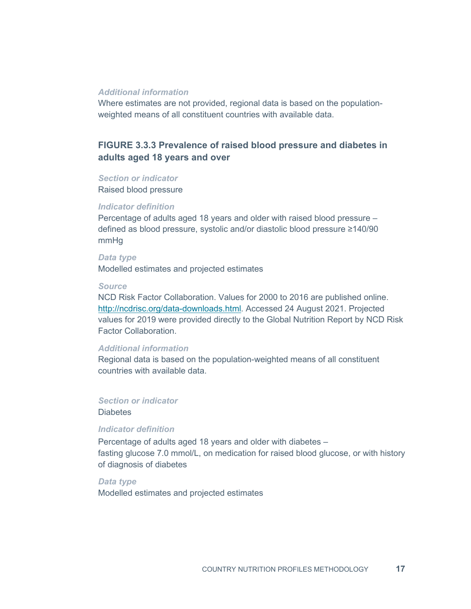#### *Additional information*

Where estimates are not provided, regional data is based on the populationweighted means of all constituent countries with available data.

# **FIGURE 3.3.3 Prevalence of raised blood pressure and diabetes in adults aged 18 years and over**

#### *Section or indicator*

Raised blood pressure

#### *Indicator definition*

Percentage of adults aged 18 years and older with raised blood pressure – defined as blood pressure, systolic and/or diastolic blood pressure ≥140/90 mmHg

#### *Data type*

Modelled estimates and projected estimates

#### *Source*

NCD Risk Factor Collaboration. Values for 2000 to 2016 are published online. [http://ncdrisc.org/data-downloads.html.](http://ncdrisc.org/data-downloads.html) Accessed 24 August 2021. Projected values for 2019 were provided directly to the Global Nutrition Report by NCD Risk Factor Collaboration.

#### *Additional information*

Regional data is based on the population-weighted means of all constituent countries with available data.

# *Section or indicator*

Diabetes

#### *Indicator definition*

Percentage of adults aged 18 years and older with diabetes – fasting glucose 7.0 mmol/L, on medication for raised blood glucose, or with history of diagnosis of diabetes

*Data type* Modelled estimates and projected estimates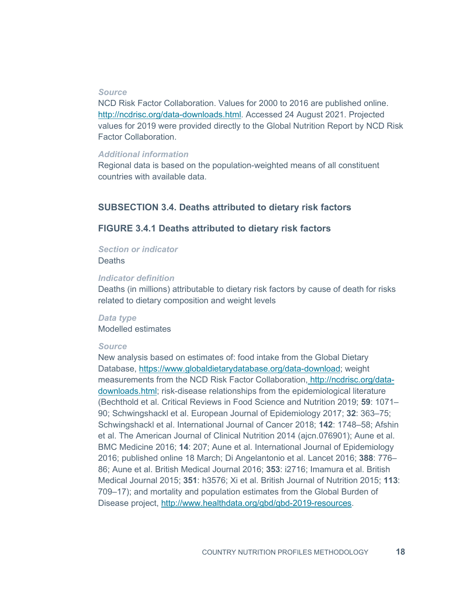#### *Source*

NCD Risk Factor Collaboration. Values for 2000 to 2016 are published online. [http://ncdrisc.org/data-downloads.html.](http://ncdrisc.org/data-downloads.html) Accessed 24 August 2021. Projected values for 2019 were provided directly to the Global Nutrition Report by NCD Risk Factor Collaboration.

#### *Additional information*

Regional data is based on the population-weighted means of all constituent countries with available data.

# **SUBSECTION 3.4. Deaths attributed to dietary risk factors**

# **FIGURE 3.4.1 Deaths attributed to dietary risk factors**

*Section or indicator*

**Deaths** 

#### *Indicator definition*

Deaths (in millions) attributable to dietary risk factors by cause of death for risks related to dietary composition and weight levels

*Data type* Modelled estimates

#### *Source*

New analysis based on estimates of: food intake from the Global Dietary Database, [https://www.globaldietarydatabase.org/data-download;](https://www.globaldietarydatabase.org/data-download) weight measurements from the NCD Risk Factor Collaboration, [http://ncdrisc.org/data](http://ncdrisc.org/data-downloads.html)[downloads.html;](http://ncdrisc.org/data-downloads.html) risk-disease relationships from the epidemiological literature (Bechthold et al. Critical Reviews in Food Science and Nutrition 2019; **59**: 1071– 90; Schwingshackl et al. European Journal of Epidemiology 2017; **32**: 363–75; Schwingshackl et al. International Journal of Cancer 2018; **142**: 1748–58; Afshin et al. The American Journal of Clinical Nutrition 2014 (ajcn.076901); Aune et al. BMC Medicine 2016; **14**: 207; Aune et al. International Journal of Epidemiology 2016; published online 18 March; Di Angelantonio et al. Lancet 2016; **388**: 776– 86; Aune et al. British Medical Journal 2016; **353**: i2716; Imamura et al. British Medical Journal 2015; **351**: h3576; Xi et al. British Journal of Nutrition 2015; **113**: 709–17); and mortality and population estimates from the Global Burden of Disease project, [http://www.healthdata.org/gbd/gbd-2019-resources.](http://www.healthdata.org/gbd/gbd-2019-resources)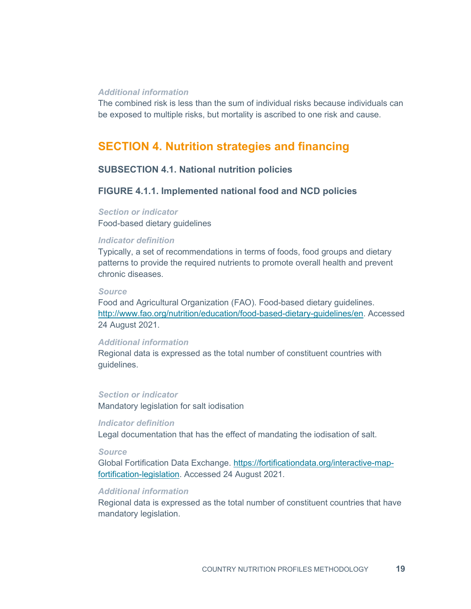#### *Additional information*

The combined risk is less than the sum of individual risks because individuals can be exposed to multiple risks, but mortality is ascribed to one risk and cause.

# **SECTION 4. Nutrition strategies and financing**

# **SUBSECTION 4.1. National nutrition policies**

# **FIGURE 4.1.1. Implemented national food and NCD policies**

*Section or indicator* Food-based dietary guidelines

#### *Indicator definition*

Typically, a set of recommendations in terms of foods, food groups and dietary patterns to provide the required nutrients to promote overall health and prevent chronic diseases.

#### *Source*

Food and Agricultural Organization (FAO). Food-based dietary guidelines. [http://www.fao.org/nutrition/education/food-based-dietary-guidelines/en.](http://www.fao.org/nutrition/education/food-based-dietary-guidelines/en) Accessed 24 August 2021.

# *Additional information*

Regional data is expressed as the total number of constituent countries with guidelines.

#### *Section or indicator*

Mandatory legislation for salt iodisation

## *Indicator definition*

Legal documentation that has the effect of mandating the iodisation of salt.

#### *Source*

Global Fortification Data Exchange. [https://fortificationdata.org/interactive-map](https://fortificationdata.org/interactive-map-fortification-legislation)[fortification-legislation.](https://fortificationdata.org/interactive-map-fortification-legislation) Accessed 24 August 2021.

## *Additional information*

Regional data is expressed as the total number of constituent countries that have mandatory legislation.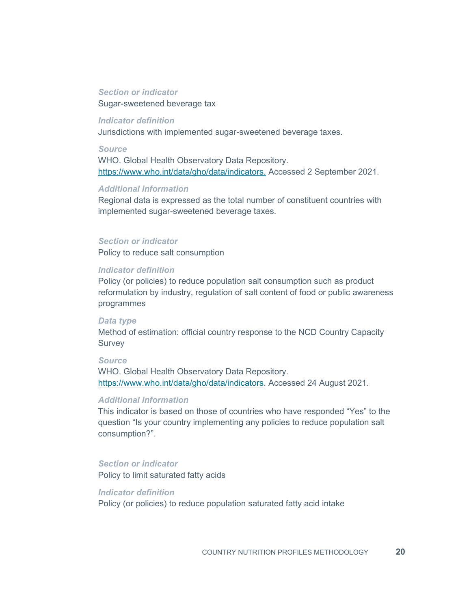#### *Section or indicator*

Sugar-sweetened beverage tax

# *Indicator definition*

Jurisdictions with implemented sugar-sweetened beverage taxes.

#### *Source*

WHO. Global Health Observatory Data Repository. https://www.who.int/data/gho/data/indicators. Accessed 2 September 2021.

## *Additional information*

Regional data is expressed as the total number of constituent countries with implemented sugar-sweetened beverage taxes.

#### *Section or indicator*

Policy to reduce salt consumption

#### *Indicator definition*

Policy (or policies) to reduce population salt consumption such as product reformulation by industry, regulation of salt content of food or public awareness programmes

#### *Data type*

Method of estimation: official country response to the NCD Country Capacity **Survey** 

#### *Source*

WHO. Global Health Observatory Data Repository. https://www.who.int/data/gho/data/indicators. Accessed 24 August 2021.

#### *Additional information*

This indicator is based on those of countries who have responded "Yes" to the question "Is your country implementing any policies to reduce population salt consumption?".

#### *Section or indicator*

Policy to limit saturated fatty acids

*Indicator definition* Policy (or policies) to reduce population saturated fatty acid intake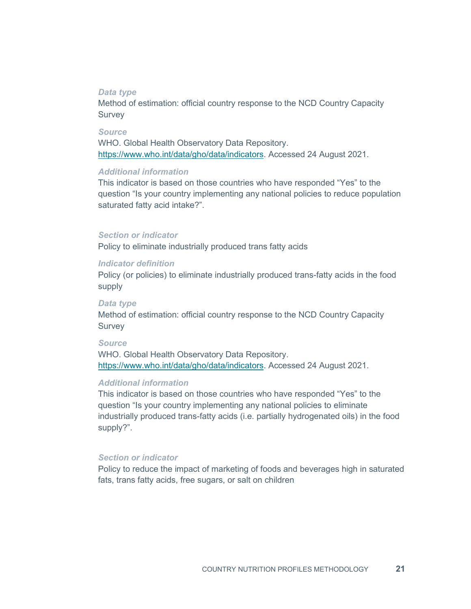#### *Data type*

Method of estimation: official country response to the NCD Country Capacity Survey

#### *Source*

WHO. Global Health Observatory Data Repository. https://www.who.int/data/gho/data/indicators. Accessed 24 August 2021.

#### *Additional information*

This indicator is based on those countries who have responded "Yes" to the question "Is your country implementing any national policies to reduce population saturated fatty acid intake?".

#### *Section or indicator*

Policy to eliminate industrially produced trans fatty acids

#### *Indicator definition*

Policy (or policies) to eliminate industrially produced trans-fatty acids in the food supply

#### *Data type*

Method of estimation: official country response to the NCD Country Capacity Survey

#### *Source*

WHO. Global Health Observatory Data Repository. https://www.who.int/data/gho/data/indicators. Accessed 24 August 2021.

# *Additional information*

This indicator is based on those countries who have responded "Yes" to the question "Is your country implementing any national policies to eliminate industrially produced trans-fatty acids (i.e. partially hydrogenated oils) in the food supply?".

#### *Section or indicator*

Policy to reduce the impact of marketing of foods and beverages high in saturated fats, trans fatty acids, free sugars, or salt on children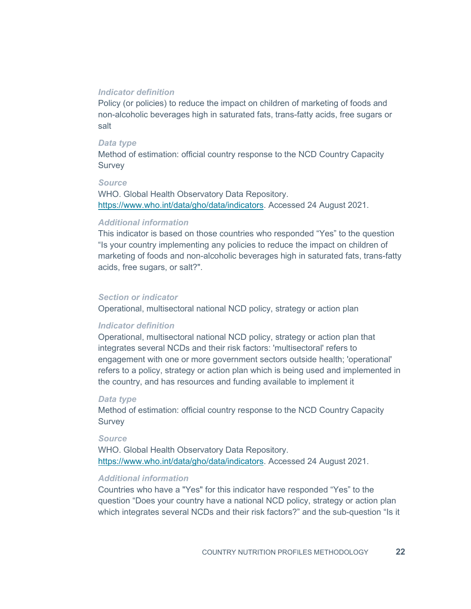#### *Indicator definition*

Policy (or policies) to reduce the impact on children of marketing of foods and non-alcoholic beverages high in saturated fats, trans-fatty acids, free sugars or salt

#### *Data type*

Method of estimation: official country response to the NCD Country Capacity **Survey** 

#### *Source*

WHO. Global Health Observatory Data Repository. https://www.who.int/data/gho/data/indicators. Accessed 24 August 2021.

#### *Additional information*

This indicator is based on those countries who responded "Yes" to the question "Is your country implementing any policies to reduce the impact on children of marketing of foods and non-alcoholic beverages high in saturated fats, trans-fatty acids, free sugars, or salt?".

#### *Section or indicator*

Operational, multisectoral national NCD policy, strategy or action plan

#### *Indicator definition*

Operational, multisectoral national NCD policy, strategy or action plan that integrates several NCDs and their risk factors: 'multisectoral' refers to engagement with one or more government sectors outside health; 'operational' refers to a policy, strategy or action plan which is being used and implemented in the country, and has resources and funding available to implement it

#### *Data type*

Method of estimation: official country response to the NCD Country Capacity **Survey** 

#### *Source*

WHO. Global Health Observatory Data Repository. https://www.who.int/data/gho/data/indicators. Accessed 24 August 2021.

#### *Additional information*

Countries who have a "Yes" for this indicator have responded "Yes" to the question "Does your country have a national NCD policy, strategy or action plan which integrates several NCDs and their risk factors?" and the sub-question "Is it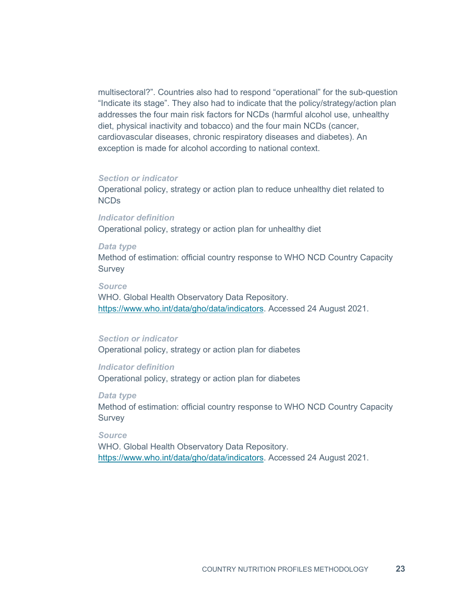multisectoral?". Countries also had to respond "operational" for the sub-question "Indicate its stage". They also had to indicate that the policy/strategy/action plan addresses the four main risk factors for NCDs (harmful alcohol use, unhealthy diet, physical inactivity and tobacco) and the four main NCDs (cancer, cardiovascular diseases, chronic respiratory diseases and diabetes). An exception is made for alcohol according to national context.

#### *Section or indicator*

Operational policy, strategy or action plan to reduce unhealthy diet related to NCDs

*Indicator definition* Operational policy, strategy or action plan for unhealthy diet

#### *Data type*

Method of estimation: official country response to WHO NCD Country Capacity **Survey** 

#### *Source*

WHO. Global Health Observatory Data Repository. [https://www.who.int/data/gho/data/indicators.](https://www.who.int/data/gho/data/indicators) Accessed 24 August 2021.

#### *Section or indicator*

Operational policy, strategy or action plan for diabetes

#### *Indicator definition*

Operational policy, strategy or action plan for diabetes

#### *Data type*

Method of estimation: official country response to WHO NCD Country Capacity Survey

*Source*

WHO. Global Health Observatory Data Repository. https://www.who.int/data/gho/data/indicators. Accessed 24 August 2021.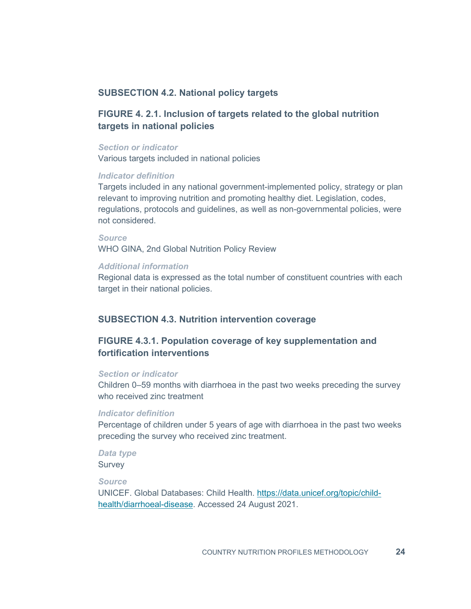# **SUBSECTION 4.2. National policy targets**

# **FIGURE 4. 2.1. Inclusion of targets related to the global nutrition targets in national policies**

#### *Section or indicator*

Various targets included in national policies

#### *Indicator definition*

Targets included in any national government-implemented policy, strategy or plan relevant to improving nutrition and promoting healthy diet. Legislation, codes, regulations, protocols and guidelines, as well as non-governmental policies, were not considered.

# *Source* WHO GINA, 2nd Global Nutrition Policy Review

#### *Additional information*

Regional data is expressed as the total number of constituent countries with each target in their national policies.

#### **SUBSECTION 4.3. Nutrition intervention coverage**

# **FIGURE 4.3.1. Population coverage of key supplementation and fortification interventions**

#### *Section or indicator*

Children 0–59 months with diarrhoea in the past two weeks preceding the survey who received zinc treatment

#### *Indicator definition*

Percentage of children under 5 years of age with diarrhoea in the past two weeks preceding the survey who received zinc treatment.

#### *Data type* **Survey**

# *Source*

UNICEF. Global Databases: Child Health. [https://data.unicef.org/topic/child](https://data.unicef.org/topic/child-health/diarrhoeal-disease)[health/diarrhoeal-disease.](https://data.unicef.org/topic/child-health/diarrhoeal-disease) Accessed 24 August 2021.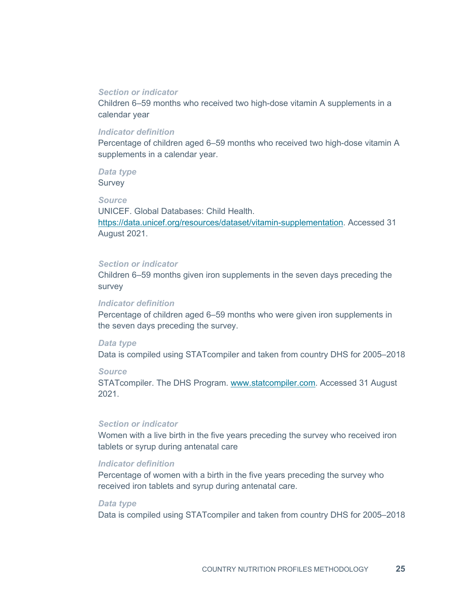#### *Section or indicator*

Children 6–59 months who received two high-dose vitamin A supplements in a calendar year

#### *Indicator definition*

Percentage of children aged 6–59 months who received two high-dose vitamin A supplements in a calendar year.

# *Data type*

**Survey** 

# *Source*

UNICEF. Global Databases: Child Health. [https://data.unicef.org/resources/dataset/vitamin-supplementation.](https://data.unicef.org/resources/dataset/vitamin-supplementation) Accessed 31 August 2021.

#### *Section or indicator*

Children 6–59 months given iron supplements in the seven days preceding the survey

#### *Indicator definition*

Percentage of children aged 6–59 months who were given iron supplements in the seven days preceding the survey.

#### *Data type*

Data is compiled using STATcompiler and taken from country DHS for 2005–2018

#### *Source*

STATcompiler. The DHS Program. [www.statcompiler.com.](http://www.statcompiler.com/) Accessed 31 August 2021.

# *Section or indicator*

Women with a live birth in the five years preceding the survey who received iron tablets or syrup during antenatal care

#### *Indicator definition*

Percentage of women with a birth in the five years preceding the survey who received iron tablets and syrup during antenatal care.

#### *Data type*

Data is compiled using STATcompiler and taken from country DHS for 2005–2018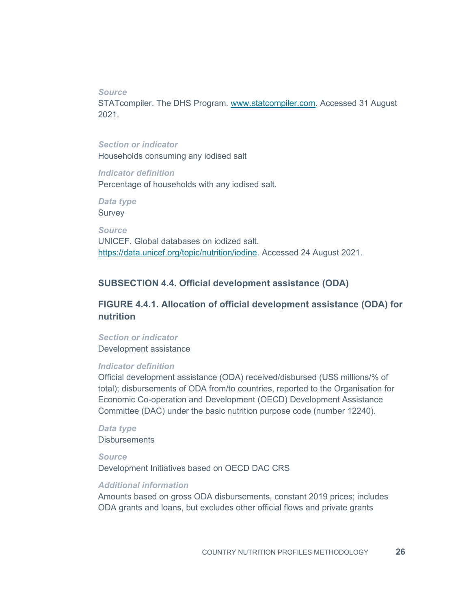*Source*

STATcompiler. The DHS Program. [www.statcompiler.com.](http://www.statcompiler.com/) Accessed 31 August 2021.

# *Section or indicator*

Households consuming any iodised salt

#### *Indicator definition*

Percentage of households with any iodised salt.

*Data type* **Survey** 

*Source* UNICEF. Global databases on iodized salt. [https://data.unicef.org/topic/nutrition/iodine.](https://data.unicef.org/topic/nutrition/iodine) Accessed 24 August 2021.

#### **SUBSECTION 4.4. Official development assistance (ODA)**

**FIGURE 4.4.1. Allocation of official development assistance (ODA) for nutrition**

# *Section or indicator* Development assistance

#### *Indicator definition*

Official development assistance (ODA) received/disbursed (US\$ millions/% of total); disbursements of ODA from/to countries, reported to the Organisation for Economic Co-operation and Development (OECD) Development Assistance Committee (DAC) under the basic nutrition purpose code (number 12240).

#### *Data type* **Disbursements**

*Source* Development Initiatives based on OECD DAC CRS

#### *Additional information*

Amounts based on gross ODA disbursements, constant 2019 prices; includes ODA grants and loans, but excludes other official flows and private grants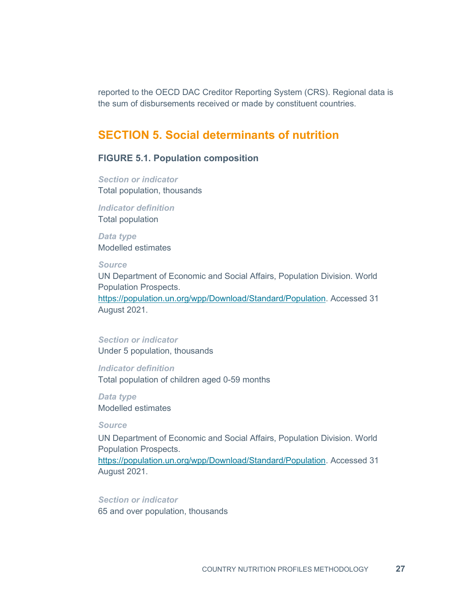reported to the OECD DAC Creditor Reporting System (CRS). Regional data is the sum of disbursements received or made by constituent countries.

# **SECTION 5. Social determinants of nutrition**

# **FIGURE 5.1. Population composition**

*Section or indicator* Total population, thousands

*Indicator definition* Total population

*Data type* Modelled estimates

## *Source*

UN Department of Economic and Social Affairs, Population Division. World Population Prospects.

[https://population.un.org/wpp/Download/Standard/Population.](https://population.un.org/wpp/Download/Standard/Population) Accessed 31 August 2021.

## *Section or indicator*

Under 5 population, thousands

## *Indicator definition*

Total population of children aged 0-59 months

*Data type* Modelled estimates

*Source*

UN Department of Economic and Social Affairs, Population Division. World Population Prospects.

[https://population.un.org/wpp/Download/Standard/Population.](https://population.un.org/wpp/Download/Standard/Population) Accessed 31 August 2021.

# *Section or indicator*

65 and over population, thousands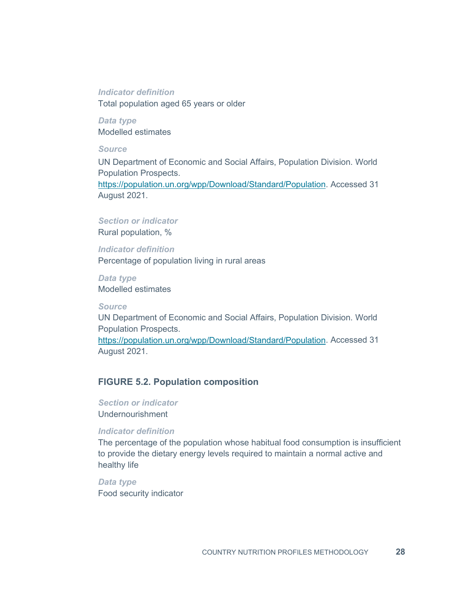#### *Indicator definition*

Total population aged 65 years or older

*Data type* Modelled estimates

## *Source*

UN Department of Economic and Social Affairs, Population Division. World Population Prospects.

[https://population.un.org/wpp/Download/Standard/Population.](https://population.un.org/wpp/Download/Standard/Population) Accessed 31 August 2021.

## *Section or indicator*

Rural population, %

*Indicator definition* Percentage of population living in rural areas

*Data type* Modelled estimates

*Source*

UN Department of Economic and Social Affairs, Population Division. World Population Prospects.

[https://population.un.org/wpp/Download/Standard/Population.](https://population.un.org/wpp/Download/Standard/Population) Accessed 31 August 2021.

# **FIGURE 5.2. Population composition**

*Section or indicator* Undernourishment

#### *Indicator definition*

The percentage of the population whose habitual food consumption is insufficient to provide the dietary energy levels required to maintain a normal active and healthy life

*Data type* Food security indicator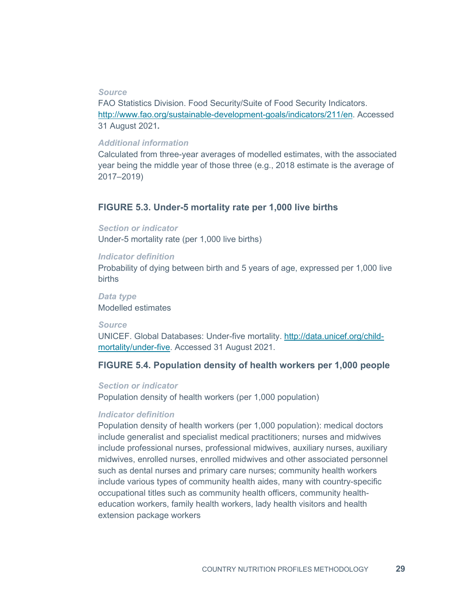#### *Source*

FAO Statistics Division. Food Security/Suite of Food Security Indicators. [http://www.fao.org/sustainable-development-goals/indicators/211/en.](http://www.fao.org/sustainable-development-goals/indicators/211/en) Accessed 31 August 2021*.*

#### *Additional information*

Calculated from three-year averages of modelled estimates, with the associated year being the middle year of those three (e.g., 2018 estimate is the average of 2017–2019)

## **FIGURE 5.3. Under-5 mortality rate per 1,000 live births**

*Section or indicator* Under-5 mortality rate (per 1,000 live births)

#### *Indicator definition*

Probability of dying between birth and 5 years of age, expressed per 1,000 live births

*Data type* Modelled estimates

#### *Source*

UNICEF. Global Databases: Under-five mortality. [http://data.unicef.org/child](http://data.unicef.org/child-mortality/under-five)[mortality/under-five.](http://data.unicef.org/child-mortality/under-five) Accessed 31 August 2021.

#### **FIGURE 5.4. Population density of health workers per 1,000 people**

#### *Section or indicator*

Population density of health workers (per 1,000 population)

#### *Indicator definition*

Population density of health workers (per 1,000 population): medical doctors include generalist and specialist medical practitioners; nurses and midwives include professional nurses, professional midwives, auxiliary nurses, auxiliary midwives, enrolled nurses, enrolled midwives and other associated personnel such as dental nurses and primary care nurses; community health workers include various types of community health aides, many with country-specific occupational titles such as community health officers, community healtheducation workers, family health workers, lady health visitors and health extension package workers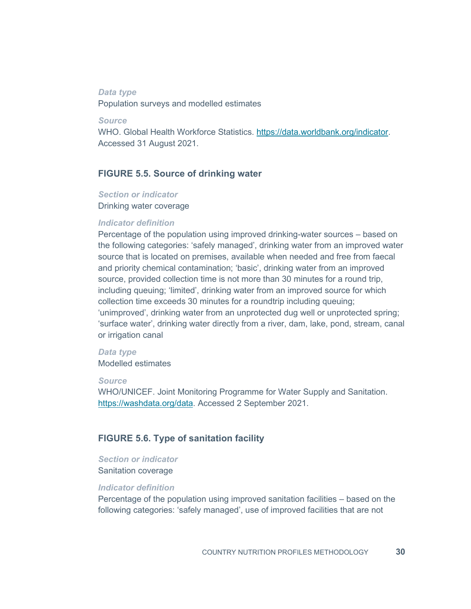#### *Data type*

Population surveys and modelled estimates

*Source*

WHO. Global Health Workforce Statistics. [https://data.worldbank.org/indicator.](https://data.worldbank.org/indicator) Accessed 31 August 2021.

# **FIGURE 5.5. Source of drinking water**

# *Section or indicator*

Drinking water coverage

#### *Indicator definition*

Percentage of the population using improved drinking-water sources – based on the following categories: 'safely managed', drinking water from an improved water source that is located on premises, available when needed and free from faecal and priority chemical contamination; 'basic', drinking water from an improved source, provided collection time is not more than 30 minutes for a round trip, including queuing; 'limited', drinking water from an improved source for which collection time exceeds 30 minutes for a roundtrip including queuing; 'unimproved', drinking water from an unprotected dug well or unprotected spring; 'surface water', drinking water directly from a river, dam, lake, pond, stream, canal or irrigation canal

#### *Data type*

Modelled estimates

#### *Source*

WHO/UNICEF. Joint Monitoring Programme for Water Supply and Sanitation. [https://washdata.org/data.](https://washdata.org/data) Accessed 2 September 2021.

#### **FIGURE 5.6. Type of sanitation facility**

# *Section or indicator*

Sanitation coverage

#### *Indicator definition*

Percentage of the population using improved sanitation facilities – based on the following categories: 'safely managed', use of improved facilities that are not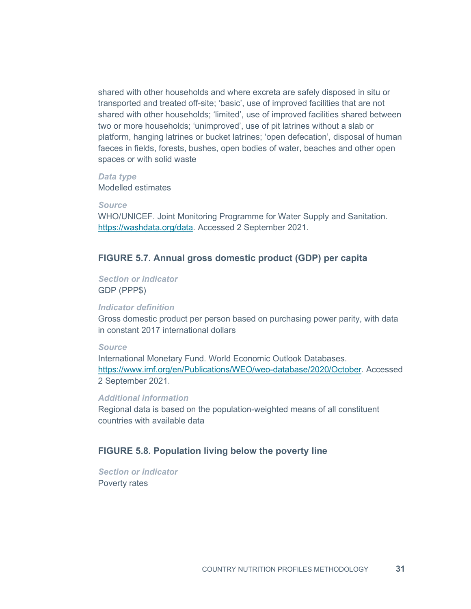shared with other households and where excreta are safely disposed in situ or transported and treated off-site; 'basic', use of improved facilities that are not shared with other households; 'limited', use of improved facilities shared between two or more households; 'unimproved', use of pit latrines without a slab or platform, hanging latrines or bucket latrines; 'open defecation', disposal of human faeces in fields, forests, bushes, open bodies of water, beaches and other open spaces or with solid waste

#### *Data type*

Modelled estimates

*Source*

WHO/UNICEF. Joint Monitoring Programme for Water Supply and Sanitation. [https://washdata.org/data.](https://washdata.org/data) Accessed 2 September 2021.

# **FIGURE 5.7. Annual gross domestic product (GDP) per capita**

*Section or indicator* GDP (PPP\$)

#### *Indicator definition*

Gross domestic product per person based on purchasing power parity, with data in constant 2017 international dollars

#### *Source*

International Monetary Fund. World Economic Outlook Databases. [https://www.imf.org/en/Publications/WEO/weo-database/2020/October.](https://www.imf.org/en/Publications/WEO/weo-database/2020/October) Accessed 2 September 2021.

#### *Additional information*

Regional data is based on the population-weighted means of all constituent countries with available data

# **FIGURE 5.8. Population living below the poverty line**

*Section or indicator* Poverty rates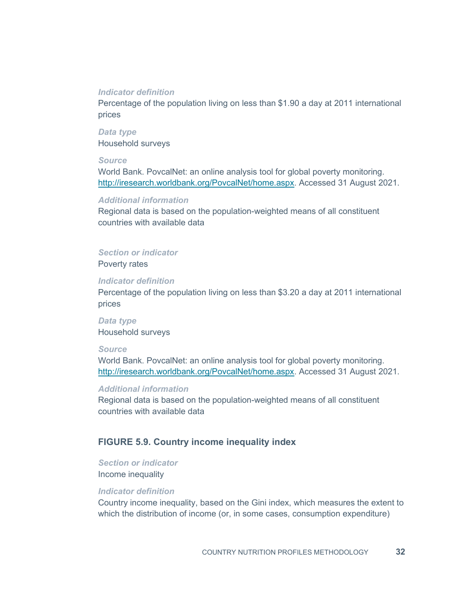#### *Indicator definition*

Percentage of the population living on less than \$1.90 a day at 2011 international prices

*Data type* Household surveys

#### *Source*

World Bank. PovcalNet: an online analysis tool for global poverty monitoring. [http://iresearch.worldbank.org/PovcalNet/home.aspx.](http://iresearch.worldbank.org/PovcalNet/home.aspx) Accessed 31 August 2021.

#### *Additional information*

Regional data is based on the population-weighted means of all constituent countries with available data

#### *Section or indicator*

Poverty rates

#### *Indicator definition*

Percentage of the population living on less than \$3.20 a day at 2011 international prices

*Data type* Household surveys

#### *Source*

World Bank. PovcalNet: an online analysis tool for global poverty monitoring. [http://iresearch.worldbank.org/PovcalNet/home.aspx.](http://iresearch.worldbank.org/PovcalNet/home.aspx) Accessed 31 August 2021.

#### *Additional information*

Regional data is based on the population-weighted means of all constituent countries with available data

#### **FIGURE 5.9. Country income inequality index**

*Section or indicator* Income inequality

## *Indicator definition*

Country income inequality, based on the Gini index, which measures the extent to which the distribution of income (or, in some cases, consumption expenditure)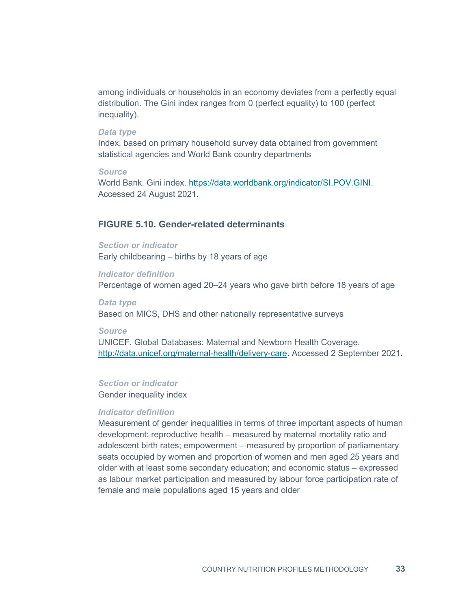among individuals or households in an economy deviates from a perfectly equal distribution. The Gini index ranges from 0 (perfect equality) to 100 (perfect inequality).

#### *Data type*

Index, based on primary household survey data obtained from government statistical agencies and World Bank country departments

#### *Source*

World Bank. Gini index. [https://data.worldbank.org/indicator/SI.POV.GINI.](https://data.worldbank.org/indicator/SI.POV.GINI) Accessed 24 August 2021.

# **FIGURE 5.10. Gender-related determinants**

# *Section or indicator* Early childbearing – births by 18 years of age

*Indicator definition* Percentage of women aged 20–24 years who gave birth before 18 years of age

# *Data type* Based on MICS, DHS and other nationally representative surveys

#### *Source*

UNICEF. Global Databases: Maternal and Newborn Health Coverage. [http://data.unicef.org/maternal-health/delivery-care.](http://data.unicef.org/maternal-health/delivery-care) Accessed 2 September 2021.

#### *Section or indicator*

Gender inequality index

#### *Indicator definition*

Measurement of gender inequalities in terms of three important aspects of human development: reproductive health – measured by maternal mortality ratio and adolescent birth rates; empowerment – measured by proportion of parliamentary seats occupied by women and proportion of women and men aged 25 years and older with at least some secondary education; and economic status – expressed as labour market participation and measured by labour force participation rate of female and male populations aged 15 years and older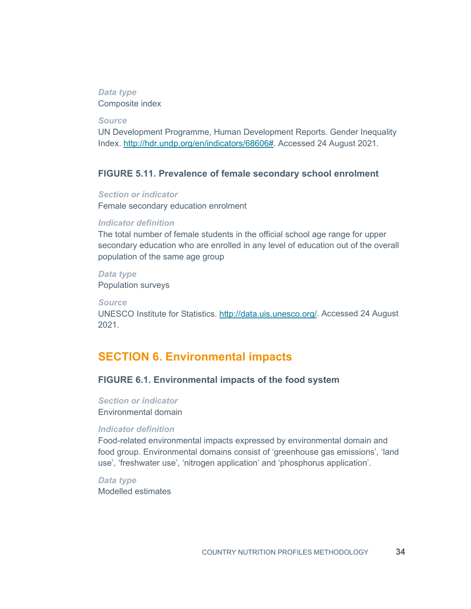#### *Data type* Composite index

*Source*

UN Development Programme, Human Development Reports. Gender Inequality Index. [http://hdr.undp.org/en/indicators/68606#.](http://hdr.undp.org/en/indicators/68606) Accessed 24 August 2021.

# **FIGURE 5.11. Prevalence of female secondary school enrolment**

*Section or indicator* Female secondary education enrolment

#### *Indicator definition*

The total number of female students in the official school age range for upper secondary education who are enrolled in any level of education out of the overall population of the same age group

*Data type* Population surveys

*Source*

UNESCO Institute for Statistics. [http://data.uis.unesco.org/.](http://data.uis.unesco.org/) Accessed 24 August 2021.

# **SECTION 6. Environmental impacts**

# **FIGURE 6.1. Environmental impacts of the food system**

*Section or indicator* Environmental domain

#### *Indicator definition*

Food-related environmental impacts expressed by environmental domain and food group. Environmental domains consist of 'greenhouse gas emissions', 'land use', 'freshwater use', 'nitrogen application' and 'phosphorus application'.

*Data type* Modelled estimates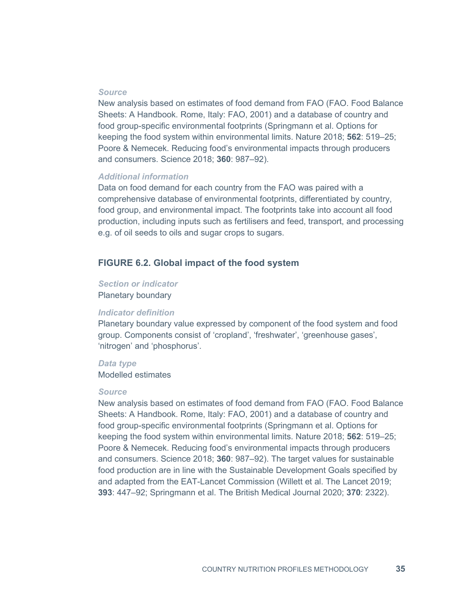#### *Source*

New analysis based on estimates of food demand from FAO (FAO. Food Balance Sheets: A Handbook. Rome, Italy: FAO, 2001) and a database of country and food group-specific environmental footprints (Springmann et al. Options for keeping the food system within environmental limits. Nature 2018; **562**: 519–25; Poore & Nemecek. Reducing food's environmental impacts through producers and consumers. Science 2018; **360**: 987–92).

#### *Additional information*

Data on food demand for each country from the FAO was paired with a comprehensive database of environmental footprints, differentiated by country, food group, and environmental impact. The footprints take into account all food production, including inputs such as fertilisers and feed, transport, and processing e.g. of oil seeds to oils and sugar crops to sugars.

#### **FIGURE 6.2. Global impact of the food system**

#### *Section or indicator* Planetary boundary

# *Indicator definition*

Planetary boundary value expressed by component of the food system and food group. Components consist of 'cropland', 'freshwater', 'greenhouse gases', 'nitrogen' and 'phosphorus'.

#### *Data type*

Modelled estimates

#### *Source*

New analysis based on estimates of food demand from FAO (FAO. Food Balance Sheets: A Handbook. Rome, Italy: FAO, 2001) and a database of country and food group-specific environmental footprints (Springmann et al. Options for keeping the food system within environmental limits. Nature 2018; **562**: 519–25; Poore & Nemecek. Reducing food's environmental impacts through producers and consumers. Science 2018; **360**: 987–92). The target values for sustainable food production are in line with the Sustainable Development Goals specified by and adapted from the EAT-Lancet Commission (Willett et al. The Lancet 2019; **393**: 447–92; Springmann et al. The British Medical Journal 2020; **370**: 2322).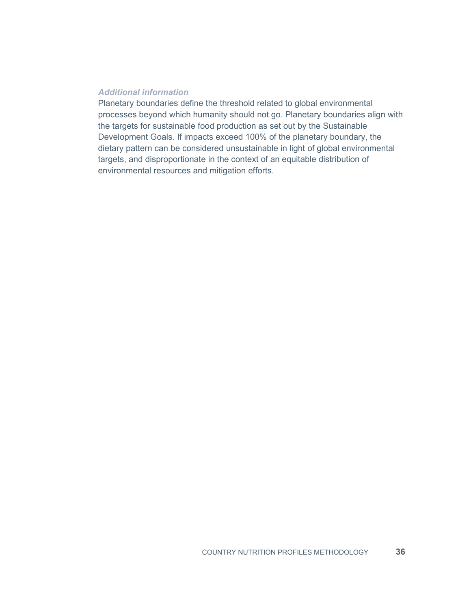#### *Additional information*

Planetary boundaries define the threshold related to global environmental processes beyond which humanity should not go. Planetary boundaries align with the targets for sustainable food production as set out by the Sustainable Development Goals. If impacts exceed 100% of the planetary boundary, the dietary pattern can be considered unsustainable in light of global environmental targets, and disproportionate in the context of an equitable distribution of environmental resources and mitigation efforts.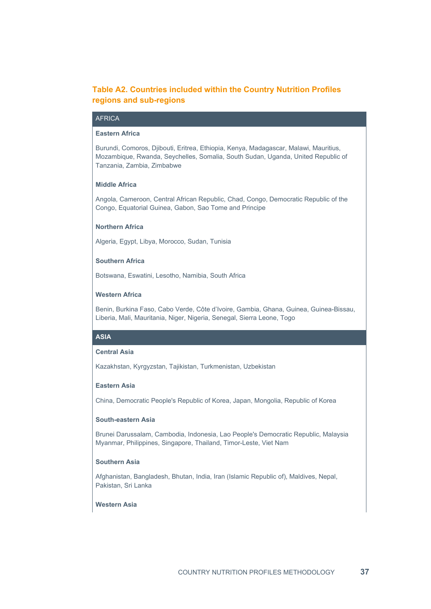# **Table A2. Countries included within the Country Nutrition Profiles regions and sub-regions**

#### **AFRICA**

#### **Eastern Africa**

Burundi, Comoros, Djibouti, Eritrea, Ethiopia, Kenya, Madagascar, Malawi, Mauritius, Mozambique, Rwanda, Seychelles, Somalia, South Sudan, Uganda, United Republic of Tanzania, Zambia, Zimbabwe

#### **Middle Africa**

Angola, Cameroon, Central African Republic, Chad, Congo, Democratic Republic of the Congo, Equatorial Guinea, Gabon, Sao Tome and Principe

#### **Northern Africa**

Algeria, Egypt, Libya, Morocco, Sudan, Tunisia

#### **Southern Africa**

Botswana, Eswatini, Lesotho, Namibia, South Africa

#### **Western Africa**

Benin, Burkina Faso, Cabo Verde, Côte d'Ivoire, Gambia, Ghana, Guinea, Guinea-Bissau, Liberia, Mali, Mauritania, Niger, Nigeria, Senegal, Sierra Leone, Togo

#### **ASIA**

#### **Central Asia**

Kazakhstan, Kyrgyzstan, Tajikistan, Turkmenistan, Uzbekistan

#### **Eastern Asia**

China, Democratic People's Republic of Korea, Japan, Mongolia, Republic of Korea

#### **South-eastern Asia**

Brunei Darussalam, Cambodia, Indonesia, Lao People's Democratic Republic, Malaysia Myanmar, Philippines, Singapore, Thailand, Timor-Leste, Viet Nam

#### **Southern Asia**

Afghanistan, Bangladesh, Bhutan, India, Iran (Islamic Republic of), Maldives, Nepal, Pakistan, Sri Lanka

#### **Western Asia**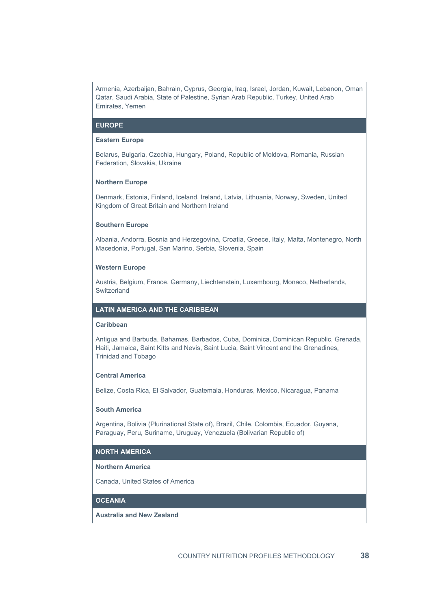Armenia, Azerbaijan, Bahrain, Cyprus, Georgia, Iraq, Israel, Jordan, Kuwait, Lebanon, Oman Qatar, Saudi Arabia, State of Palestine, Syrian Arab Republic, Turkey, United Arab Emirates, Yemen

#### **EUROPE**

#### **Eastern Europe**

Belarus, Bulgaria, Czechia, Hungary, Poland, Republic of Moldova, Romania, Russian Federation, Slovakia, Ukraine

#### **Northern Europe**

Denmark, Estonia, Finland, Iceland, Ireland, Latvia, Lithuania, Norway, Sweden, United Kingdom of Great Britain and Northern Ireland

#### **Southern Europe**

Albania, Andorra, Bosnia and Herzegovina, Croatia, Greece, Italy, Malta, Montenegro, North Macedonia, Portugal, San Marino, Serbia, Slovenia, Spain

#### **Western Europe**

Austria, Belgium, France, Germany, Liechtenstein, Luxembourg, Monaco, Netherlands, Switzerland

#### **LATIN AMERICA AND THE CARIBBEAN**

#### **Caribbean**

Antigua and Barbuda, Bahamas, Barbados, Cuba, Dominica, Dominican Republic, Grenada, Haiti, Jamaica, Saint Kitts and Nevis, Saint Lucia, Saint Vincent and the Grenadines, Trinidad and Tobago

#### **Central America**

Belize, Costa Rica, El Salvador, Guatemala, Honduras, Mexico, Nicaragua, Panama

#### **South America**

Argentina, Bolivia (Plurinational State of), Brazil, Chile, Colombia, Ecuador, Guyana, Paraguay, Peru, Suriname, Uruguay, Venezuela (Bolivarian Republic of)

#### **NORTH AMERICA**

#### **Northern America**

Canada, United States of America

#### **OCEANIA**

**Australia and New Zealand**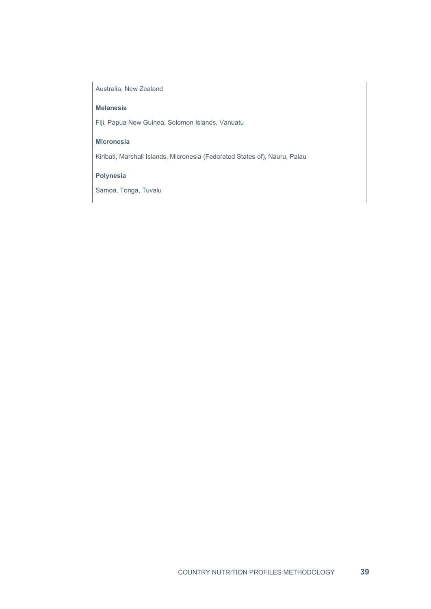#### Australia, New Zealand

#### **Melanesia**

Fiji, Papua New Guinea, Solomon Islands, Vanuatu

#### **Micronesia**

Kiribati, Marshall Islands, Micronesia (Federated States of), Nauru, Palau

#### **Polynesia**

Samoa, Tonga, Tuvalu